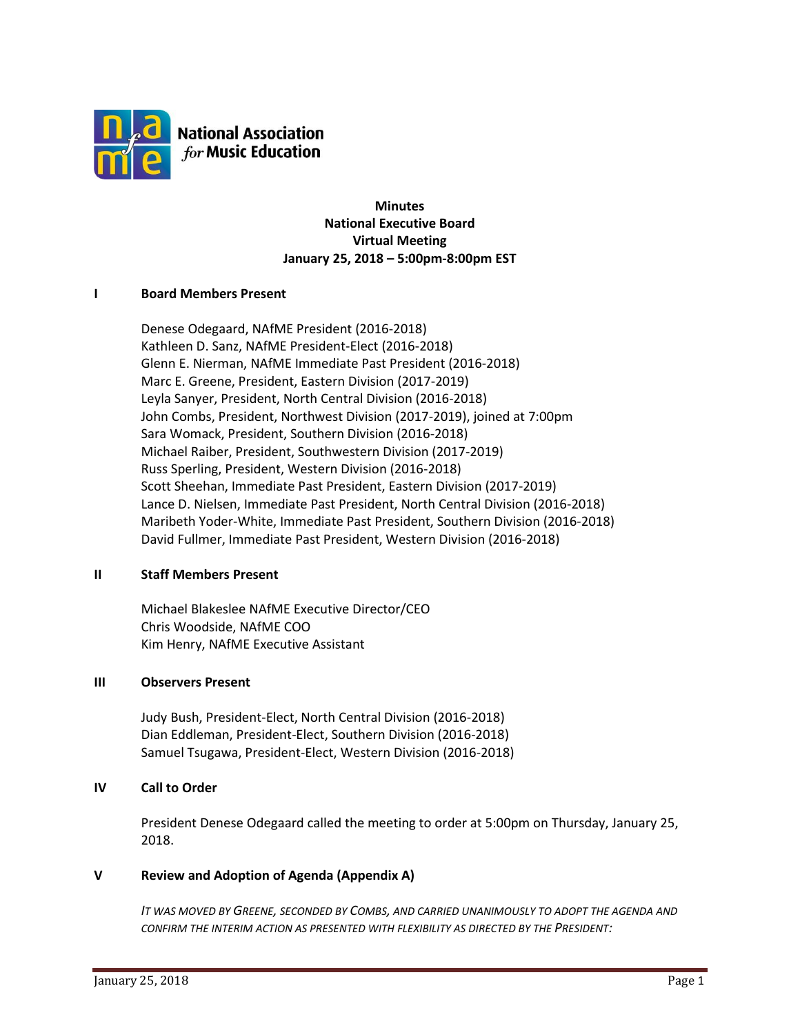

**National Association** for Music Education

> **Minutes National Executive Board Virtual Meeting January 25, 2018 – 5:00pm-8:00pm EST**

#### **I Board Members Present**

Denese Odegaard, NAfME President (2016-2018) Kathleen D. Sanz, NAfME President-Elect (2016-2018) Glenn E. Nierman, NAfME Immediate Past President (2016-2018) Marc E. Greene, President, Eastern Division (2017-2019) Leyla Sanyer, President, North Central Division (2016-2018) John Combs, President, Northwest Division (2017-2019), joined at 7:00pm Sara Womack, President, Southern Division (2016-2018) Michael Raiber, President, Southwestern Division (2017-2019) Russ Sperling, President, Western Division (2016-2018) Scott Sheehan, Immediate Past President, Eastern Division (2017-2019) Lance D. Nielsen, Immediate Past President, North Central Division (2016-2018) Maribeth Yoder-White, Immediate Past President, Southern Division (2016-2018) David Fullmer, Immediate Past President, Western Division (2016-2018)

#### **II Staff Members Present**

Michael Blakeslee NAfME Executive Director/CEO Chris Woodside, NAfME COO Kim Henry, NAfME Executive Assistant

#### **III Observers Present**

Judy Bush, President-Elect, North Central Division (2016-2018) Dian Eddleman, President-Elect, Southern Division (2016-2018) Samuel Tsugawa, President-Elect, Western Division (2016-2018)

#### **IV Call to Order**

President Denese Odegaard called the meeting to order at 5:00pm on Thursday, January 25, 2018.

#### **V Review and Adoption of Agenda (Appendix A)**

IT WAS MOVED BY GREENE, SECONDED BY COMBS, AND CARRIED UNANIMOUSLY TO ADOPT THE AGENDA AND *CONFIRM THE INTERIM ACTION AS PRESENTED WITH FLEXIBILITY AS DIRECTED BY THE PRESIDENT:*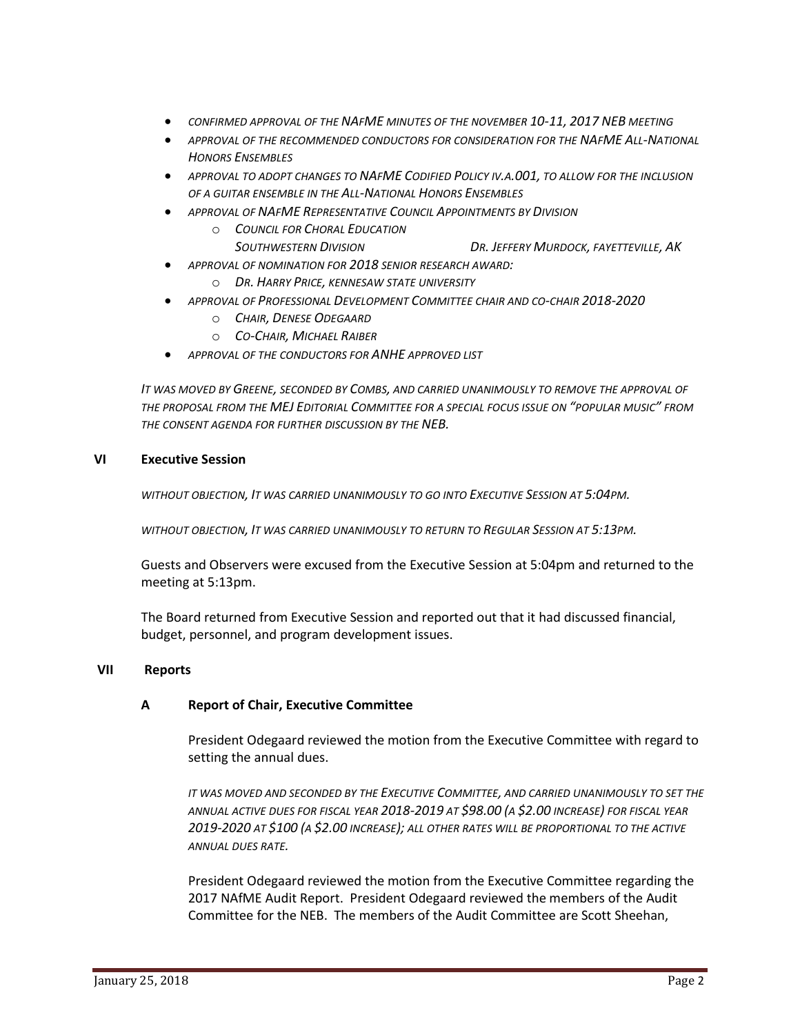- *CONFIRMED APPROVAL OF THE NAFME MINUTES OF THE NOVEMBER 10-11, 2017 NEB MEETING*
- *APPROVAL OF THE RECOMMENDED CONDUCTORS FOR CONSIDERATION FOR THE NAFME ALL-NATIONAL HONORS ENSEMBLES*
- APPROVAL TO ADOPT CHANGES TO NAFME CODIFIED POLICY IV.A.001, TO ALLOW FOR THE INCLUSION *OF A GUITAR ENSEMBLE IN THE ALL-NATIONAL HONORS ENSEMBLES*
- *APPROVAL OF NAFME REPRESENTATIVE COUNCIL APPOINTMENTS BY DIVISION* o *COUNCIL FOR CHORAL EDUCATION*
	- *SOUTHWESTERN DIVISION DR. JEFFERY MURDOCK, FAYETTEVILLE, AK*
- *APPROVAL OF NOMINATION FOR 2018 SENIOR RESEARCH AWARD:*
	- o *DR. HARRY PRICE, KENNESAW STATE UNIVERSITY*
- *APPROVAL OF PROFESSIONAL DEVELOPMENT COMMITTEE CHAIR AND CO-CHAIR 2018-2020*
	- o *CHAIR, DENESE ODEGAARD*
	- o *CO-CHAIR, MICHAEL RAIBER*
- *APPROVAL OF THE CONDUCTORS FOR ANHE APPROVED LIST*

IT WAS MOVED BY GREENE, SECONDED BY COMBS, AND CARRIED UNANIMOUSLY TO REMOVE THE APPROVAL OF THE PROPOSAL FROM THE **MEJ E**DITORIAL COMMITTEE FOR A SPECIAL FOCUS ISSUE ON "POPULAR MUSIC" FROM *THE CONSENT AGENDA FOR FURTHER DISCUSSION BY THE NEB.*

#### **VI Executive Session**

*WITHOUT OBJECTION, IT WAS CARRIED UNANIMOUSLY TO GO INTO EXECUTIVE SESSION AT 5:04PM.*

*WITHOUT OBJECTION, IT WAS CARRIED UNANIMOUSLY TO RETURN TO REGULAR SESSION AT 5:13PM.*

Guests and Observers were excused from the Executive Session at 5:04pm and returned to the meeting at 5:13pm.

The Board returned from Executive Session and reported out that it had discussed financial, budget, personnel, and program development issues.

#### **VII Reports**

#### **A Report of Chair, Executive Committee**

President Odegaard reviewed the motion from the Executive Committee with regard to setting the annual dues.

*IT WAS MOVED AND SECONDED BY THE EXECUTIVE COMMITTEE, AND CARRIED UNANIMOUSLY TO SET THE ANNUAL ACTIVE DUES FOR FISCAL YEAR 2018-2019 AT \$98.00 (A \$2.00 INCREASE) FOR FISCAL YEAR 2019-2020 AT \$100 (A \$2.00 INCREASE); ALL OTHER RATES WILL BE PROPORTIONAL TO THE ACTIVE ANNUAL DUES RATE.*

President Odegaard reviewed the motion from the Executive Committee regarding the 2017 NAfME Audit Report. President Odegaard reviewed the members of the Audit Committee for the NEB. The members of the Audit Committee are Scott Sheehan,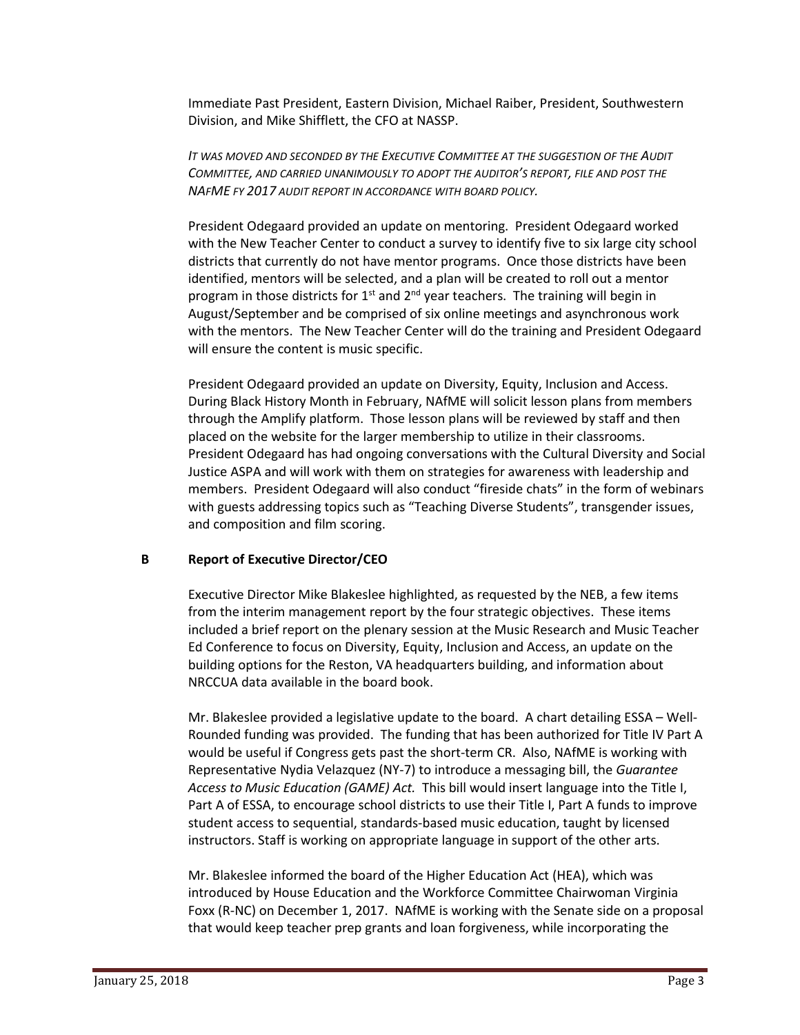Immediate Past President, Eastern Division, Michael Raiber, President, Southwestern Division, and Mike Shifflett, the CFO at NASSP.

*IT WAS MOVED AND SECONDED BY THE EXECUTIVE COMMITTEE AT THE SUGGESTION OF THE AUDIT COMMITTEE, AND CARRIED UNANIMOUSLY TO ADOPT THE AUDITOR'S REPORT, FILE AND POST THE NAFME FY 2017 AUDIT REPORT IN ACCORDANCE WITH BOARD POLICY.*

President Odegaard provided an update on mentoring. President Odegaard worked with the New Teacher Center to conduct a survey to identify five to six large city school districts that currently do not have mentor programs. Once those districts have been identified, mentors will be selected, and a plan will be created to roll out a mentor program in those districts for 1<sup>st</sup> and 2<sup>nd</sup> year teachers. The training will begin in August/September and be comprised of six online meetings and asynchronous work with the mentors. The New Teacher Center will do the training and President Odegaard will ensure the content is music specific.

President Odegaard provided an update on Diversity, Equity, Inclusion and Access. During Black History Month in February, NAfME will solicit lesson plans from members through the Amplify platform. Those lesson plans will be reviewed by staff and then placed on the website for the larger membership to utilize in their classrooms. President Odegaard has had ongoing conversations with the Cultural Diversity and Social Justice ASPA and will work with them on strategies for awareness with leadership and members. President Odegaard will also conduct "fireside chats" in the form of webinars with guests addressing topics such as "Teaching Diverse Students", transgender issues, and composition and film scoring.

#### **B Report of Executive Director/CEO**

Executive Director Mike Blakeslee highlighted, as requested by the NEB, a few items from the interim management report by the four strategic objectives. These items included a brief report on the plenary session at the Music Research and Music Teacher Ed Conference to focus on Diversity, Equity, Inclusion and Access, an update on the building options for the Reston, VA headquarters building, and information about NRCCUA data available in the board book.

Mr. Blakeslee provided a legislative update to the board. A chart detailing ESSA – Well-Rounded funding was provided. The funding that has been authorized for Title IV Part A would be useful if Congress gets past the short-term CR. Also, NAfME is working with Representative Nydia Velazquez (NY-7) to introduce a messaging bill, the *Guarantee Access to Music Education (GAME) Act.* This bill would insert language into the Title I, Part A of ESSA, to encourage school districts to use their Title I, Part A funds to improve student access to sequential, standards-based music education, taught by licensed instructors. Staff is working on appropriate language in support of the other arts.

Mr. Blakeslee informed the board of the Higher Education Act (HEA), which was introduced by House Education and the Workforce Committee Chairwoman Virginia Foxx (R-NC) on December 1, 2017. NAfME is working with the Senate side on a proposal that would keep teacher prep grants and loan forgiveness, while incorporating the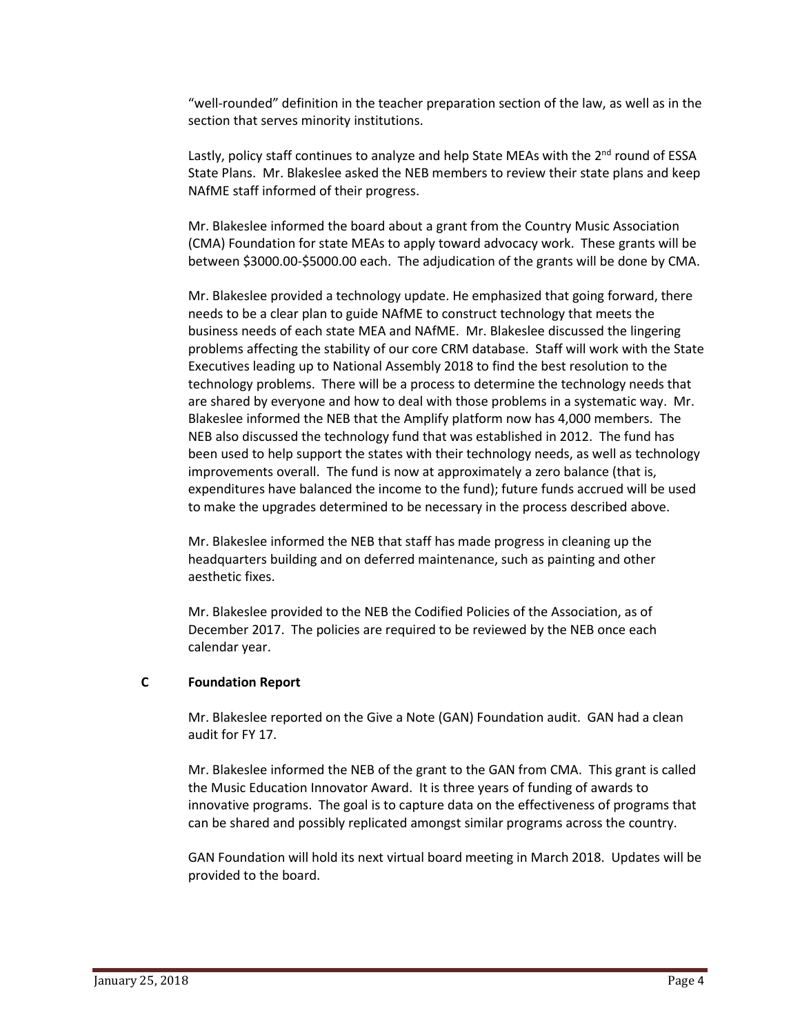"well-rounded" definition in the teacher preparation section of the law, as well as in the section that serves minority institutions.

Lastly, policy staff continues to analyze and help State MEAs with the 2<sup>nd</sup> round of ESSA State Plans. Mr. Blakeslee asked the NEB members to review their state plans and keep NAfME staff informed of their progress.

Mr. Blakeslee informed the board about a grant from the Country Music Association (CMA) Foundation for state MEAs to apply toward advocacy work. These grants will be between \$3000.00-\$5000.00 each. The adjudication of the grants will be done by CMA.

Mr. Blakeslee provided a technology update. He emphasized that going forward, there needs to be a clear plan to guide NAfME to construct technology that meets the business needs of each state MEA and NAfME. Mr. Blakeslee discussed the lingering problems affecting the stability of our core CRM database. Staff will work with the State Executives leading up to National Assembly 2018 to find the best resolution to the technology problems. There will be a process to determine the technology needs that are shared by everyone and how to deal with those problems in a systematic way. Mr. Blakeslee informed the NEB that the Amplify platform now has 4,000 members. The NEB also discussed the technology fund that was established in 2012. The fund has been used to help support the states with their technology needs, as well as technology improvements overall. The fund is now at approximately a zero balance (that is, expenditures have balanced the income to the fund); future funds accrued will be used to make the upgrades determined to be necessary in the process described above.

Mr. Blakeslee informed the NEB that staff has made progress in cleaning up the headquarters building and on deferred maintenance, such as painting and other aesthetic fixes.

Mr. Blakeslee provided to the NEB the Codified Policies of the Association, as of December 2017. The policies are required to be reviewed by the NEB once each calendar year.

## **C Foundation Report**

Mr. Blakeslee reported on the Give a Note (GAN) Foundation audit. GAN had a clean audit for FY 17.

Mr. Blakeslee informed the NEB of the grant to the GAN from CMA. This grant is called the Music Education Innovator Award. It is three years of funding of awards to innovative programs. The goal is to capture data on the effectiveness of programs that can be shared and possibly replicated amongst similar programs across the country.

GAN Foundation will hold its next virtual board meeting in March 2018. Updates will be provided to the board.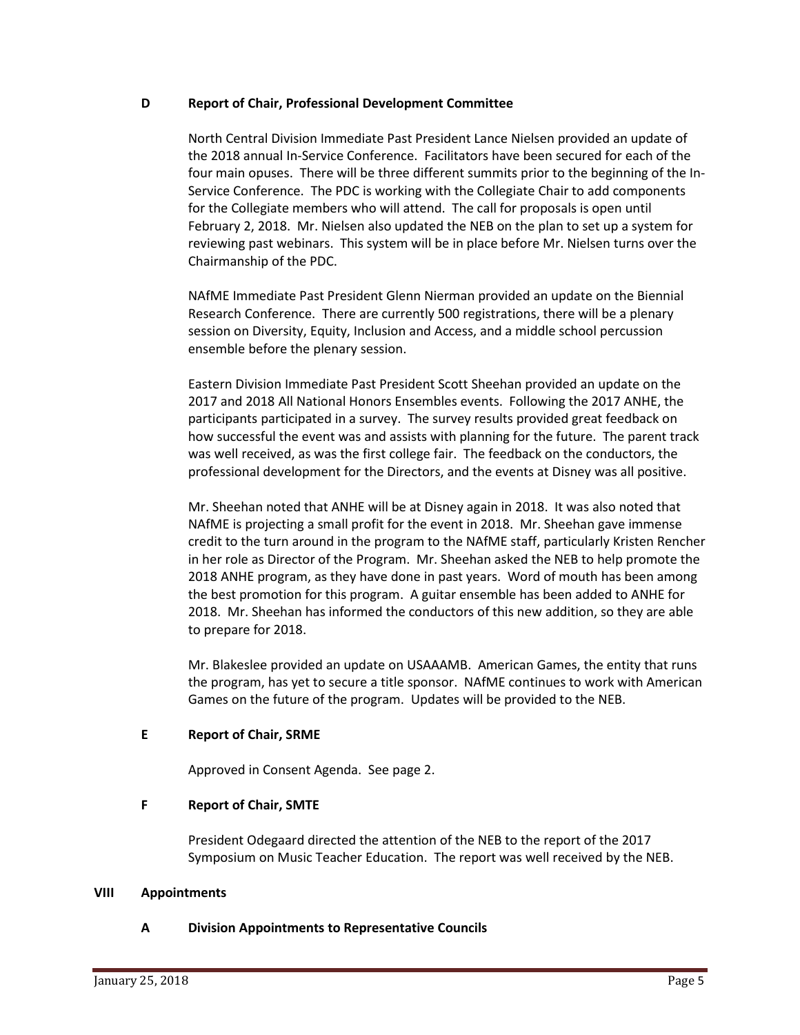#### **D Report of Chair, Professional Development Committee**

North Central Division Immediate Past President Lance Nielsen provided an update of the 2018 annual In-Service Conference. Facilitators have been secured for each of the four main opuses. There will be three different summits prior to the beginning of the In-Service Conference. The PDC is working with the Collegiate Chair to add components for the Collegiate members who will attend. The call for proposals is open until February 2, 2018. Mr. Nielsen also updated the NEB on the plan to set up a system for reviewing past webinars. This system will be in place before Mr. Nielsen turns over the Chairmanship of the PDC.

NAfME Immediate Past President Glenn Nierman provided an update on the Biennial Research Conference. There are currently 500 registrations, there will be a plenary session on Diversity, Equity, Inclusion and Access, and a middle school percussion ensemble before the plenary session.

Eastern Division Immediate Past President Scott Sheehan provided an update on the 2017 and 2018 All National Honors Ensembles events. Following the 2017 ANHE, the participants participated in a survey. The survey results provided great feedback on how successful the event was and assists with planning for the future. The parent track was well received, as was the first college fair. The feedback on the conductors, the professional development for the Directors, and the events at Disney was all positive.

Mr. Sheehan noted that ANHE will be at Disney again in 2018. It was also noted that NAfME is projecting a small profit for the event in 2018. Mr. Sheehan gave immense credit to the turn around in the program to the NAfME staff, particularly Kristen Rencher in her role as Director of the Program. Mr. Sheehan asked the NEB to help promote the 2018 ANHE program, as they have done in past years. Word of mouth has been among the best promotion for this program. A guitar ensemble has been added to ANHE for 2018. Mr. Sheehan has informed the conductors of this new addition, so they are able to prepare for 2018.

Mr. Blakeslee provided an update on USAAAMB. American Games, the entity that runs the program, has yet to secure a title sponsor. NAfME continues to work with American Games on the future of the program. Updates will be provided to the NEB.

#### **E Report of Chair, SRME**

Approved in Consent Agenda. See page 2.

#### **F Report of Chair, SMTE**

President Odegaard directed the attention of the NEB to the report of the 2017 Symposium on Music Teacher Education. The report was well received by the NEB.

#### **VIII Appointments**

#### **A Division Appointments to Representative Councils**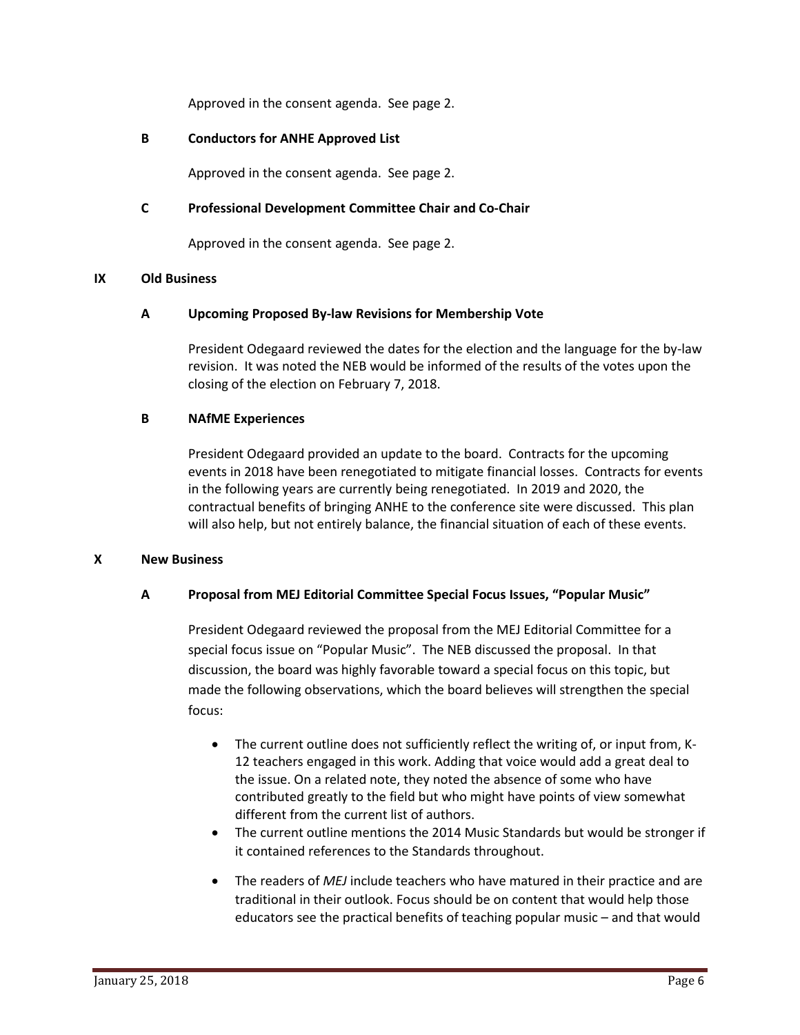Approved in the consent agenda. See page 2.

## **B Conductors for ANHE Approved List**

Approved in the consent agenda. See page 2.

## **C Professional Development Committee Chair and Co-Chair**

Approved in the consent agenda. See page 2.

#### **IX Old Business**

#### **A Upcoming Proposed By-law Revisions for Membership Vote**

President Odegaard reviewed the dates for the election and the language for the by-law revision. It was noted the NEB would be informed of the results of the votes upon the closing of the election on February 7, 2018.

#### **B NAfME Experiences**

President Odegaard provided an update to the board. Contracts for the upcoming events in 2018 have been renegotiated to mitigate financial losses. Contracts for events in the following years are currently being renegotiated. In 2019 and 2020, the contractual benefits of bringing ANHE to the conference site were discussed. This plan will also help, but not entirely balance, the financial situation of each of these events.

#### **X New Business**

#### **A Proposal from MEJ Editorial Committee Special Focus Issues, "Popular Music"**

President Odegaard reviewed the proposal from the MEJ Editorial Committee for a special focus issue on "Popular Music". The NEB discussed the proposal. In that discussion, the board was highly favorable toward a special focus on this topic, but made the following observations, which the board believes will strengthen the special focus:

- The current outline does not sufficiently reflect the writing of, or input from, K-12 teachers engaged in this work. Adding that voice would add a great deal to the issue. On a related note, they noted the absence of some who have contributed greatly to the field but who might have points of view somewhat different from the current list of authors.
- The current outline mentions the 2014 Music Standards but would be stronger if it contained references to the Standards throughout.
- The readers of *MEJ* include teachers who have matured in their practice and are traditional in their outlook. Focus should be on content that would help those educators see the practical benefits of teaching popular music – and that would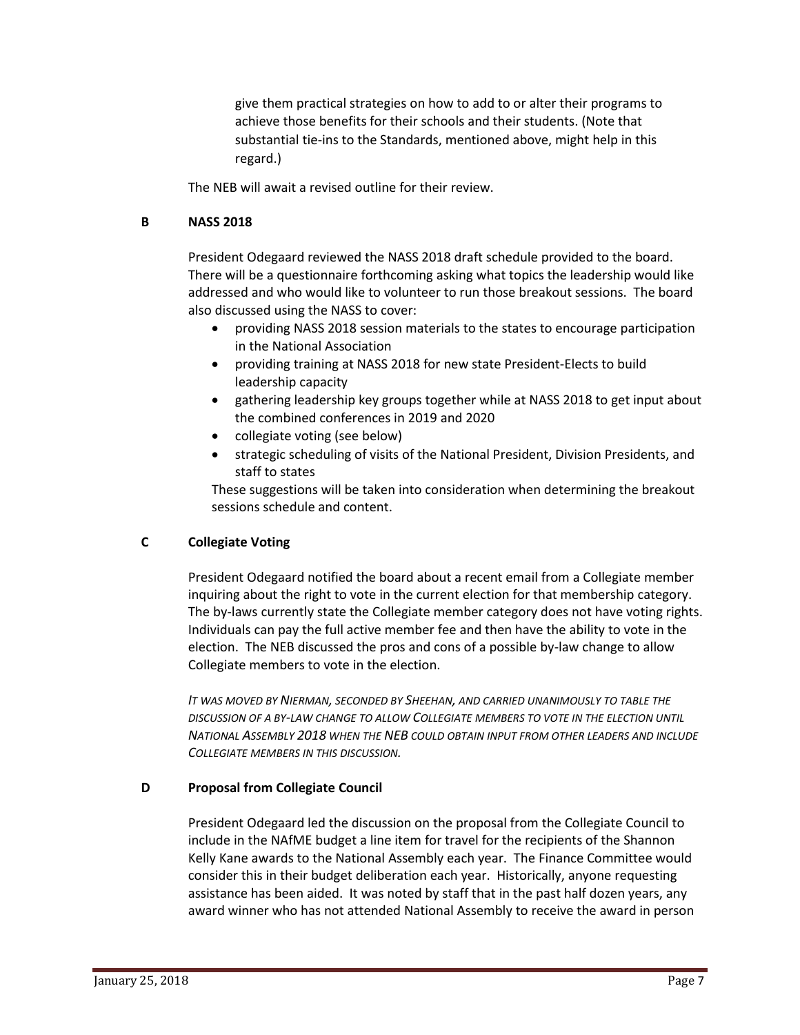give them practical strategies on how to add to or alter their programs to achieve those benefits for their schools and their students. (Note that substantial tie-ins to the Standards, mentioned above, might help in this regard.)

The NEB will await a revised outline for their review.

## **B NASS 2018**

President Odegaard reviewed the NASS 2018 draft schedule provided to the board. There will be a questionnaire forthcoming asking what topics the leadership would like addressed and who would like to volunteer to run those breakout sessions. The board also discussed using the NASS to cover:

- providing NASS 2018 session materials to the states to encourage participation in the National Association
- providing training at NASS 2018 for new state President-Elects to build leadership capacity
- gathering leadership key groups together while at NASS 2018 to get input about the combined conferences in 2019 and 2020
- collegiate voting (see below)
- strategic scheduling of visits of the National President, Division Presidents, and staff to states

These suggestions will be taken into consideration when determining the breakout sessions schedule and content.

# **C Collegiate Voting**

President Odegaard notified the board about a recent email from a Collegiate member inquiring about the right to vote in the current election for that membership category. The by-laws currently state the Collegiate member category does not have voting rights. Individuals can pay the full active member fee and then have the ability to vote in the election. The NEB discussed the pros and cons of a possible by-law change to allow Collegiate members to vote in the election.

*IT WAS MOVED BY NIERMAN, SECONDED BY SHEEHAN, AND CARRIED UNANIMOUSLY TO TABLE THE DISCUSSION OF A BY-LAW CHANGE TO ALLOW COLLEGIATE MEMBERS TO VOTE IN THE ELECTION UNTIL NATIONAL ASSEMBLY 2018 WHEN THE NEB COULD OBTAIN INPUT FROM OTHER LEADERS AND INCLUDE COLLEGIATE MEMBERS IN THIS DISCUSSION.*

# **D Proposal from Collegiate Council**

President Odegaard led the discussion on the proposal from the Collegiate Council to include in the NAfME budget a line item for travel for the recipients of the Shannon Kelly Kane awards to the National Assembly each year. The Finance Committee would consider this in their budget deliberation each year. Historically, anyone requesting assistance has been aided. It was noted by staff that in the past half dozen years, any award winner who has not attended National Assembly to receive the award in person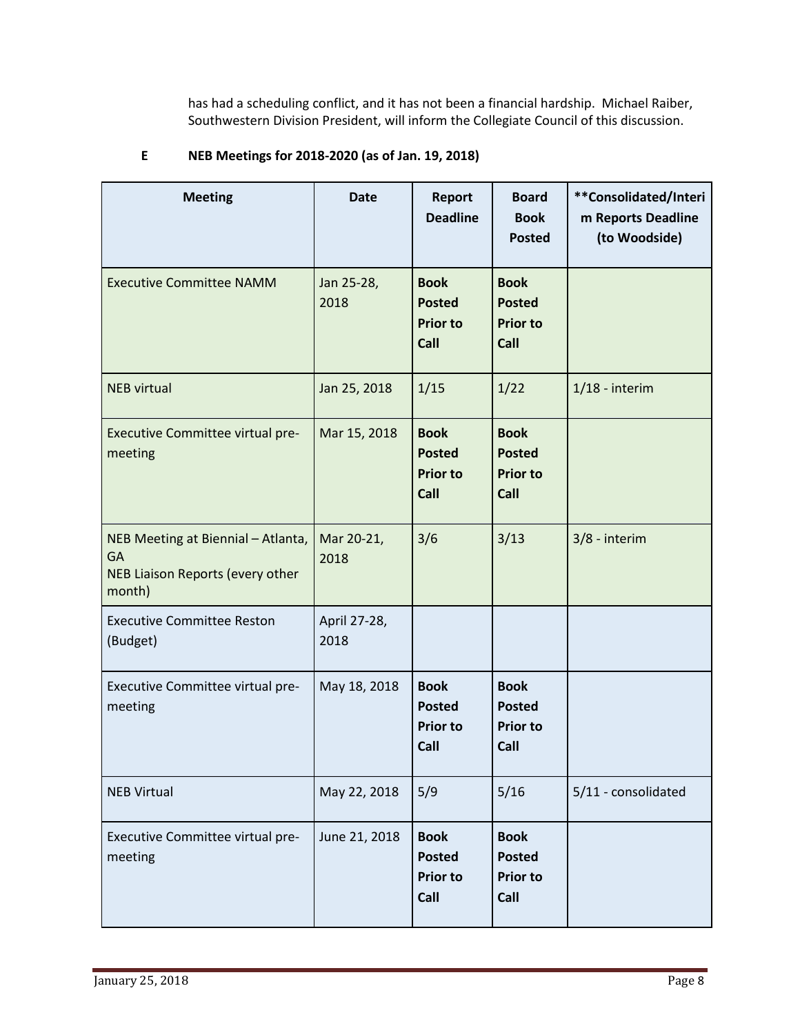has had a scheduling conflict, and it has not been a financial hardship. Michael Raiber, Southwestern Division President, will inform the Collegiate Council of this discussion.

| <b>Meeting</b>                                                                         | <b>Date</b>          | <b>Report</b><br><b>Deadline</b>                        | <b>Board</b><br><b>Book</b><br><b>Posted</b>            | **Consolidated/Interi<br>m Reports Deadline<br>(to Woodside) |
|----------------------------------------------------------------------------------------|----------------------|---------------------------------------------------------|---------------------------------------------------------|--------------------------------------------------------------|
| <b>Executive Committee NAMM</b>                                                        | Jan 25-28,<br>2018   | <b>Book</b><br><b>Posted</b><br><b>Prior to</b><br>Call | <b>Book</b><br><b>Posted</b><br><b>Prior to</b><br>Call |                                                              |
| <b>NEB virtual</b>                                                                     | Jan 25, 2018         | 1/15                                                    | 1/22                                                    | $1/18$ - interim                                             |
| Executive Committee virtual pre-<br>meeting                                            | Mar 15, 2018         | <b>Book</b><br><b>Posted</b><br><b>Prior to</b><br>Call | <b>Book</b><br><b>Posted</b><br><b>Prior to</b><br>Call |                                                              |
| NEB Meeting at Biennial - Atlanta,<br>GA<br>NEB Liaison Reports (every other<br>month) | Mar 20-21,<br>2018   | 3/6                                                     | 3/13                                                    | 3/8 - interim                                                |
| <b>Executive Committee Reston</b><br>(Budget)                                          | April 27-28,<br>2018 |                                                         |                                                         |                                                              |
| Executive Committee virtual pre-<br>meeting                                            | May 18, 2018         | <b>Book</b><br><b>Posted</b><br><b>Prior to</b><br>Call | <b>Book</b><br><b>Posted</b><br><b>Prior to</b><br>Call |                                                              |
| <b>NEB Virtual</b>                                                                     | May 22, 2018         | 5/9                                                     | 5/16                                                    | 5/11 - consolidated                                          |
| Executive Committee virtual pre-<br>meeting                                            | June 21, 2018        | <b>Book</b><br><b>Posted</b><br><b>Prior to</b><br>Call | <b>Book</b><br><b>Posted</b><br><b>Prior to</b><br>Call |                                                              |

# **E NEB Meetings for 2018-2020 (as of Jan. 19, 2018)**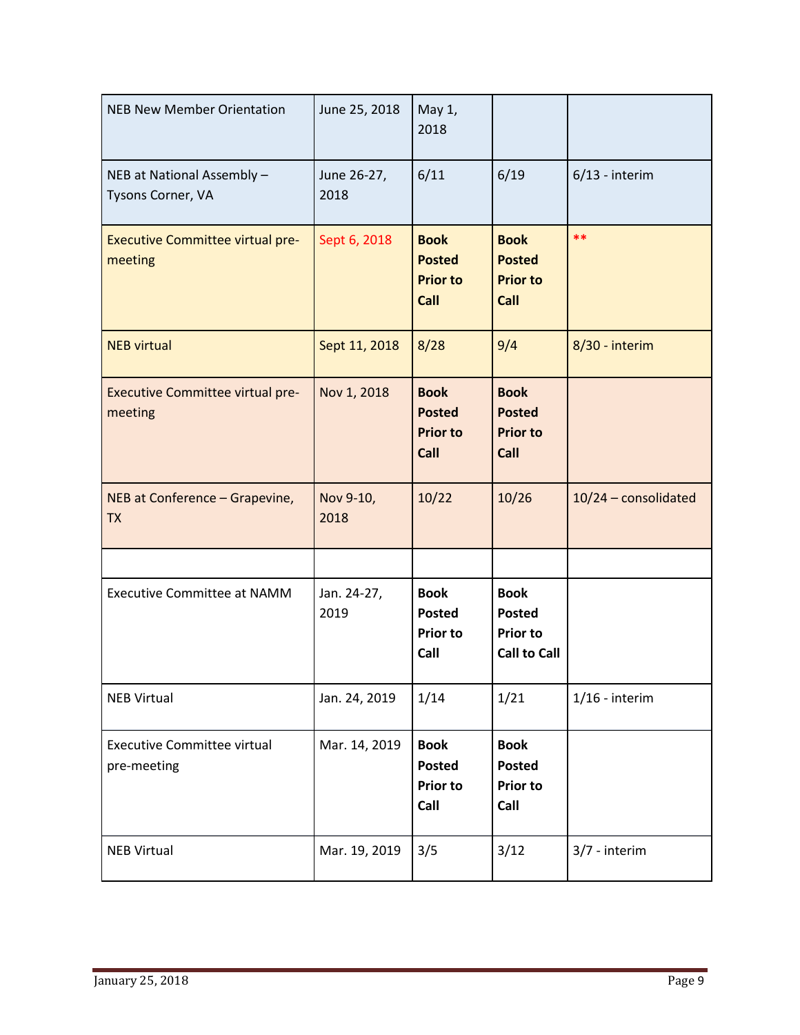| <b>NEB New Member Orientation</b>                  | June 25, 2018       | May 1,<br>2018                                          |                                                                        |                      |
|----------------------------------------------------|---------------------|---------------------------------------------------------|------------------------------------------------------------------------|----------------------|
| NEB at National Assembly -<br>Tysons Corner, VA    | June 26-27,<br>2018 | 6/11                                                    | 6/19                                                                   | $6/13$ - interim     |
| <b>Executive Committee virtual pre-</b><br>meeting | Sept 6, 2018        | <b>Book</b><br><b>Posted</b><br><b>Prior to</b><br>Call | <b>Book</b><br><b>Posted</b><br><b>Prior to</b><br>Call                | **                   |
| <b>NEB virtual</b>                                 | Sept 11, 2018       | 8/28                                                    | 9/4                                                                    | 8/30 - interim       |
| <b>Executive Committee virtual pre-</b><br>meeting | Nov 1, 2018         | <b>Book</b><br><b>Posted</b><br><b>Prior to</b><br>Call | <b>Book</b><br><b>Posted</b><br><b>Prior to</b><br>Call                |                      |
| NEB at Conference - Grapevine,<br><b>TX</b>        | Nov 9-10,<br>2018   | 10/22                                                   | 10/26                                                                  | 10/24 - consolidated |
|                                                    |                     |                                                         |                                                                        |                      |
| <b>Executive Committee at NAMM</b>                 | Jan. 24-27,<br>2019 | <b>Book</b><br><b>Posted</b><br><b>Prior to</b><br>Call | <b>Book</b><br><b>Posted</b><br><b>Prior to</b><br><b>Call to Call</b> |                      |
| <b>NEB Virtual</b>                                 | Jan. 24, 2019       | 1/14                                                    | 1/21                                                                   | $1/16$ - interim     |
| <b>Executive Committee virtual</b><br>pre-meeting  | Mar. 14, 2019       | <b>Book</b><br><b>Posted</b><br><b>Prior to</b><br>Call | <b>Book</b><br><b>Posted</b><br><b>Prior to</b><br>Call                |                      |
| <b>NEB Virtual</b>                                 | Mar. 19, 2019       | 3/5                                                     | 3/12                                                                   | 3/7 - interim        |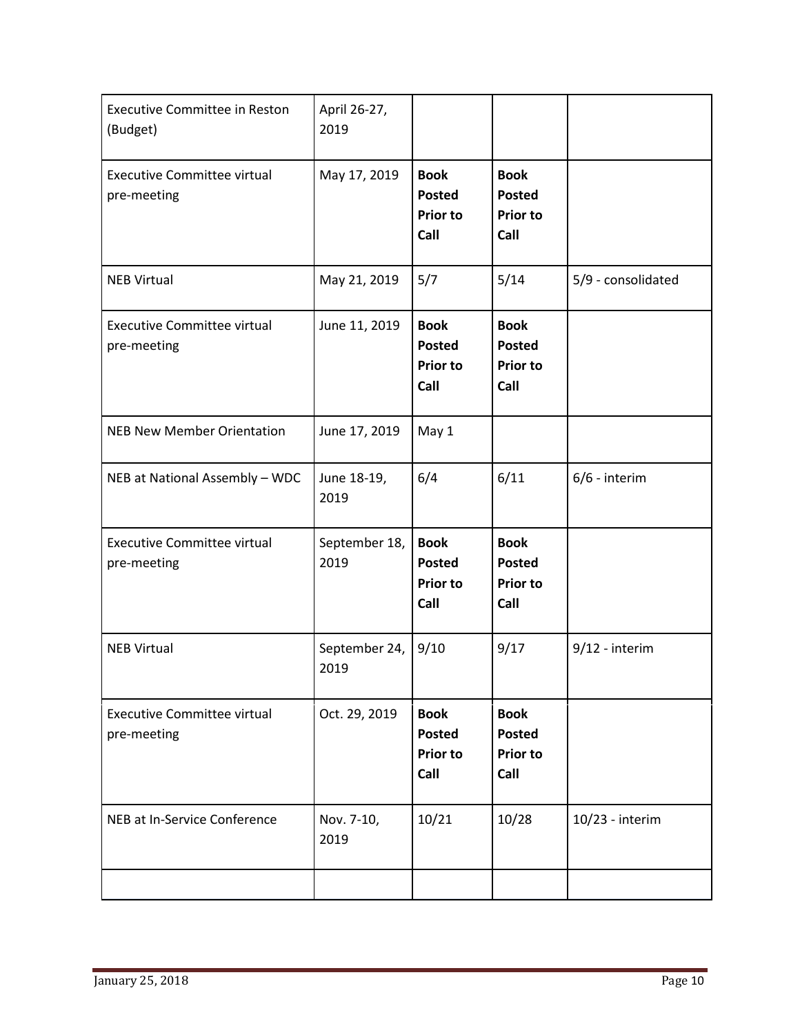| <b>Executive Committee in Reston</b><br>(Budget)  | April 26-27,<br>2019  |                                                         |                                                         |                    |
|---------------------------------------------------|-----------------------|---------------------------------------------------------|---------------------------------------------------------|--------------------|
| <b>Executive Committee virtual</b><br>pre-meeting | May 17, 2019          | <b>Book</b><br><b>Posted</b><br><b>Prior to</b><br>Call | <b>Book</b><br><b>Posted</b><br><b>Prior to</b><br>Call |                    |
| <b>NEB Virtual</b>                                | May 21, 2019          | 5/7                                                     | 5/14                                                    | 5/9 - consolidated |
| <b>Executive Committee virtual</b><br>pre-meeting | June 11, 2019         | <b>Book</b><br><b>Posted</b><br><b>Prior to</b><br>Call | <b>Book</b><br><b>Posted</b><br><b>Prior to</b><br>Call |                    |
| <b>NEB New Member Orientation</b>                 | June 17, 2019         | May 1                                                   |                                                         |                    |
| NEB at National Assembly - WDC                    | June 18-19,<br>2019   | 6/4                                                     | 6/11                                                    | $6/6$ - interim    |
| <b>Executive Committee virtual</b><br>pre-meeting | September 18,<br>2019 | <b>Book</b><br><b>Posted</b><br><b>Prior to</b><br>Call | <b>Book</b><br><b>Posted</b><br><b>Prior to</b><br>Call |                    |
| <b>NEB Virtual</b>                                | September 24,<br>2019 | 9/10                                                    | 9/17                                                    | $9/12$ - interim   |
| <b>Executive Committee virtual</b><br>pre-meeting | Oct. 29, 2019         | <b>Book</b><br><b>Posted</b><br><b>Prior to</b><br>Call | <b>Book</b><br><b>Posted</b><br><b>Prior to</b><br>Call |                    |
| NEB at In-Service Conference                      | Nov. 7-10,<br>2019    | 10/21                                                   | 10/28                                                   | 10/23 - interim    |
|                                                   |                       |                                                         |                                                         |                    |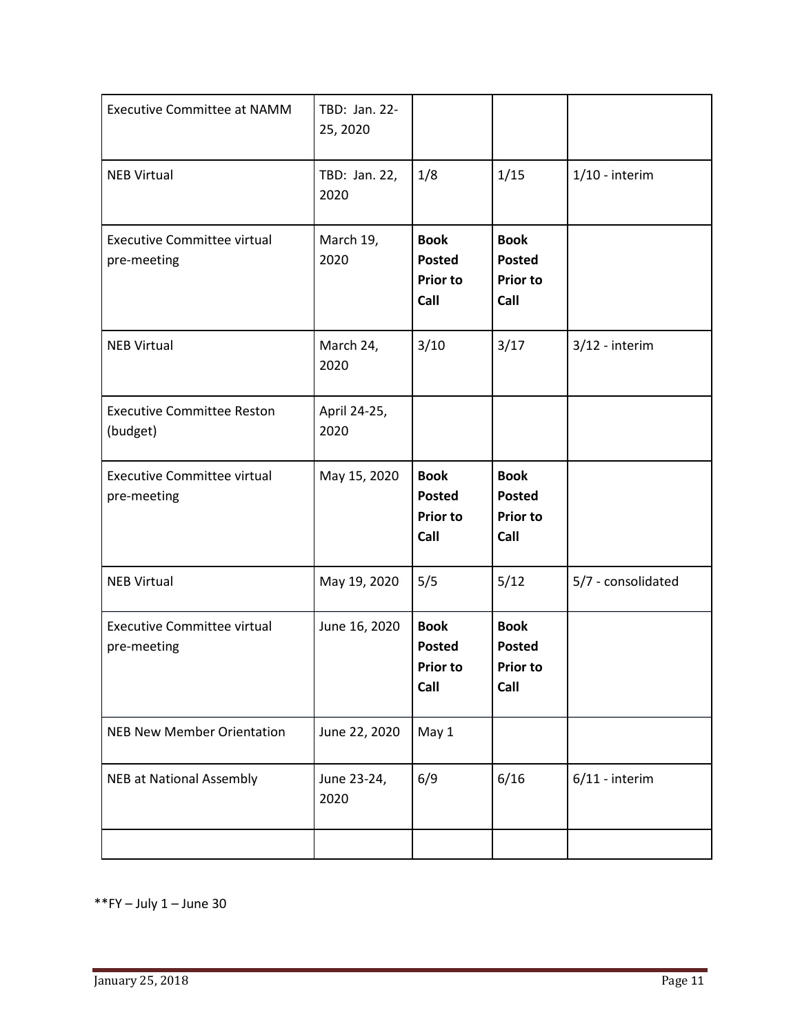| <b>Executive Committee at NAMM</b>                | TBD: Jan. 22-<br>25, 2020 |                                                         |                                                         |                    |
|---------------------------------------------------|---------------------------|---------------------------------------------------------|---------------------------------------------------------|--------------------|
| <b>NEB Virtual</b>                                | TBD: Jan. 22,<br>2020     | 1/8                                                     | 1/15                                                    | $1/10$ - interim   |
| <b>Executive Committee virtual</b><br>pre-meeting | March 19,<br>2020         | <b>Book</b><br><b>Posted</b><br><b>Prior to</b><br>Call | <b>Book</b><br><b>Posted</b><br><b>Prior to</b><br>Call |                    |
| <b>NEB Virtual</b>                                | March 24,<br>2020         | 3/10                                                    | 3/17                                                    | $3/12$ - interim   |
| <b>Executive Committee Reston</b><br>(budget)     | April 24-25,<br>2020      |                                                         |                                                         |                    |
| <b>Executive Committee virtual</b><br>pre-meeting | May 15, 2020              | <b>Book</b><br><b>Posted</b><br><b>Prior to</b><br>Call | <b>Book</b><br><b>Posted</b><br><b>Prior to</b><br>Call |                    |
| <b>NEB Virtual</b>                                | May 19, 2020              | 5/5                                                     | 5/12                                                    | 5/7 - consolidated |
| <b>Executive Committee virtual</b><br>pre-meeting | June 16, 2020             | <b>Book</b><br><b>Posted</b><br><b>Prior to</b><br>Call | <b>Book</b><br><b>Posted</b><br><b>Prior to</b><br>Call |                    |
| <b>NEB New Member Orientation</b>                 | June 22, 2020             | May 1                                                   |                                                         |                    |
| <b>NEB at National Assembly</b>                   | June 23-24,<br>2020       | 6/9                                                     | 6/16                                                    | $6/11$ - interim   |
|                                                   |                           |                                                         |                                                         |                    |

 $*$  $*$ FY – July 1 – June 30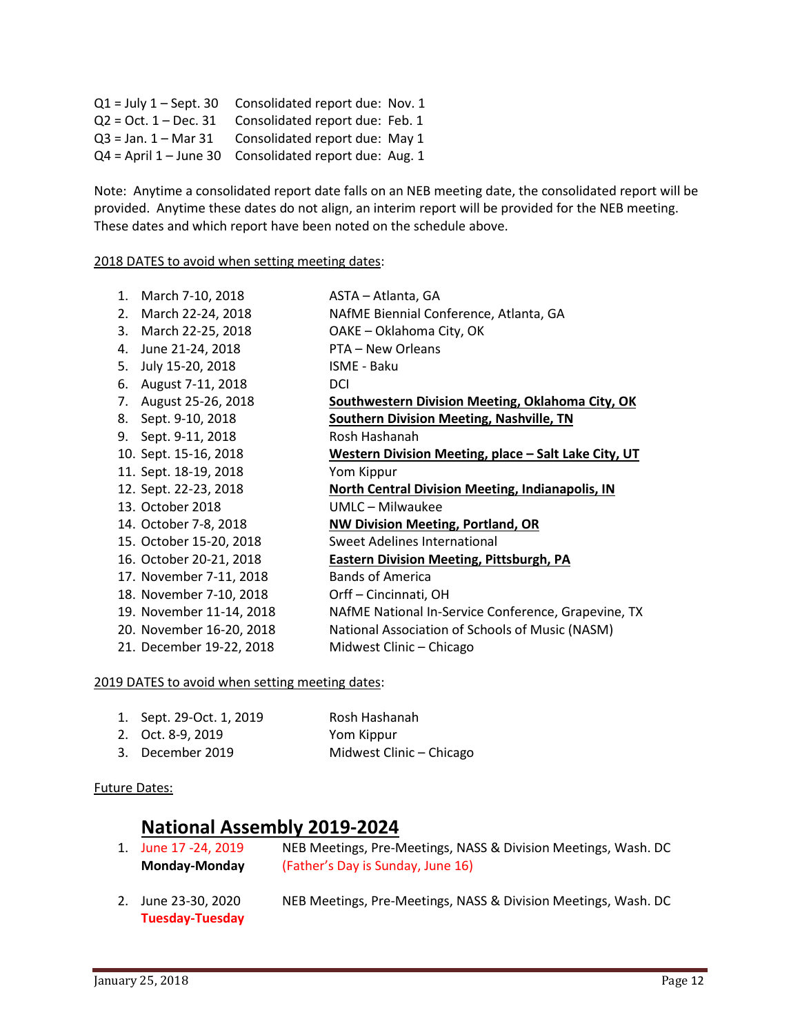| $Q1 =$ July $1 -$ Sept. 30 | Consolidated report due: Nov. 1                        |
|----------------------------|--------------------------------------------------------|
| $Q2 = Oct. 1 - Dec. 31$    | Consolidated report due: Feb. 1                        |
| $Q3 = Jan. 1 - Mar31$      | Consolidated report due: May 1                         |
|                            | Q4 = April 1 - June 30 Consolidated report due: Aug. 1 |

Note: Anytime a consolidated report date falls on an NEB meeting date, the consolidated report will be provided. Anytime these dates do not align, an interim report will be provided for the NEB meeting. These dates and which report have been noted on the schedule above.

2018 DATES to avoid when setting meeting dates:

| 1. | March 7-10, 2018         | ASTA – Atlanta, GA                                      |
|----|--------------------------|---------------------------------------------------------|
| 2. | March 22-24, 2018        | NAfME Biennial Conference, Atlanta, GA                  |
| 3. | March 22-25, 2018        | OAKE - Oklahoma City, OK                                |
| 4. | June 21-24, 2018         | PTA – New Orleans                                       |
| 5. | July 15-20, 2018         | <b>ISME - Baku</b>                                      |
| 6. | August 7-11, 2018        | <b>DCI</b>                                              |
| 7. | August 25-26, 2018       | Southwestern Division Meeting, Oklahoma City, OK        |
|    | 8. Sept. 9-10, 2018      | Southern Division Meeting, Nashville, TN                |
|    | 9. Sept. 9-11, 2018      | Rosh Hashanah                                           |
|    | 10. Sept. 15-16, 2018    | Western Division Meeting, place - Salt Lake City, UT    |
|    | 11. Sept. 18-19, 2018    | Yom Kippur                                              |
|    | 12. Sept. 22-23, 2018    | <b>North Central Division Meeting, Indianapolis, IN</b> |
|    | 13. October 2018         | UMLC - Milwaukee                                        |
|    | 14. October 7-8, 2018    | <b>NW Division Meeting, Portland, OR</b>                |
|    | 15. October 15-20, 2018  | Sweet Adelines International                            |
|    | 16. October 20-21, 2018  | <b>Eastern Division Meeting, Pittsburgh, PA</b>         |
|    | 17. November 7-11, 2018  | <b>Bands of America</b>                                 |
|    | 18. November 7-10, 2018  | Orff - Cincinnati, OH                                   |
|    | 19. November 11-14, 2018 | NAfME National In-Service Conference, Grapevine, TX     |
|    | 20. November 16-20, 2018 | National Association of Schools of Music (NASM)         |
|    | 21. December 19-22, 2018 | Midwest Clinic - Chicago                                |

2019 DATES to avoid when setting meeting dates:

| 1. Sept. 29-Oct. 1, 2019 | Rosh Hashanah            |
|--------------------------|--------------------------|
| 2. Oct. 8-9, 2019        | Yom Kippur               |
| 3. December 2019         | Midwest Clinic - Chicago |

#### Future Dates:

# **National Assembly 2019-2024**

- 1. June 17 -24, 2019 NEB Meetings, Pre-Meetings, NASS & Division Meetings, Wash. DC **Monday-Monday** (Father's Day is Sunday, June 16)
- 2. June 23-30, 2020 NEB Meetings, Pre-Meetings, NASS & Division Meetings, Wash. DC **Tuesday-Tuesday**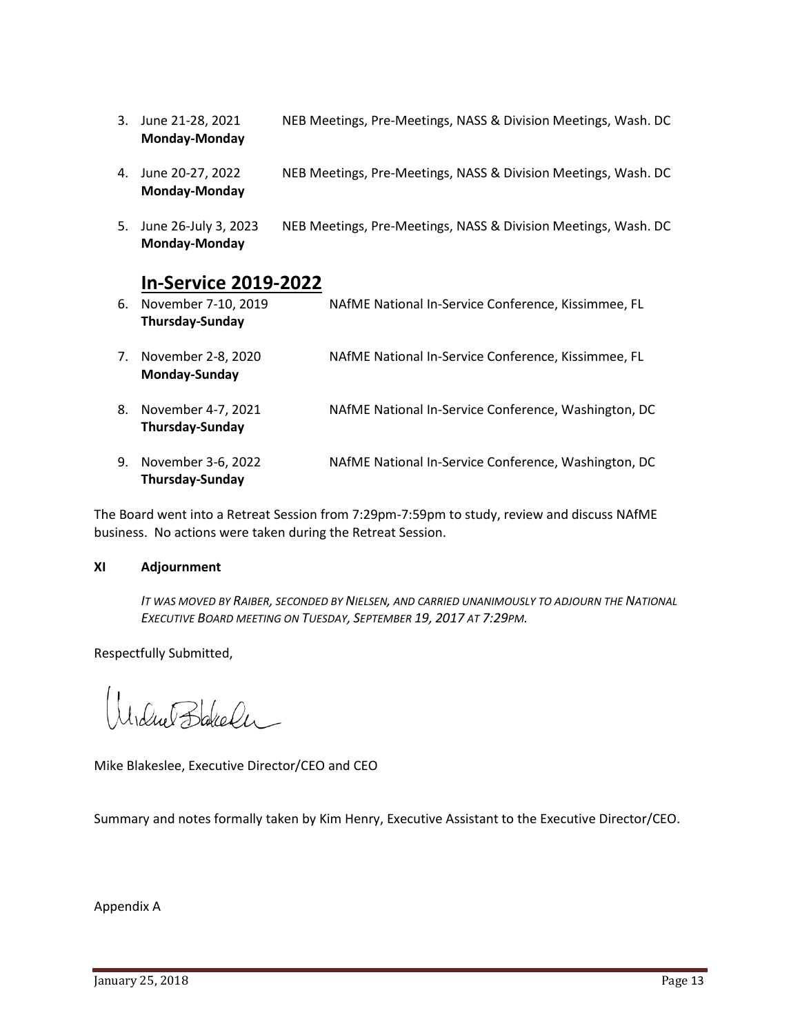- 3. June 21-28, 2021 NEB Meetings, Pre-Meetings, NASS & Division Meetings, Wash. DC **Monday-Monday**
- 4. June 20-27, 2022 NEB Meetings, Pre-Meetings, NASS & Division Meetings, Wash. DC **Monday-Monday**
- 5. June 26-July 3, 2023 NEB Meetings, Pre-Meetings, NASS & Division Meetings, Wash. DC **Monday-Monday**

# **In-Service 2019-2022**

6. November 7-10, 2019 NAfME National In-Service Conference, Kissimmee, FL **Thursday-Sunday** 7. November 2-8, 2020 NAfME National In-Service Conference, Kissimmee, FL **Monday-Sunday** 8. November 4-7, 2021 NAfME National In-Service Conference, Washington, DC **Thursday-Sunday** 9. November 3-6, 2022 NAfME National In-Service Conference, Washington, DC **Thursday-Sunday**

The Board went into a Retreat Session from 7:29pm-7:59pm to study, review and discuss NAfME business. No actions were taken during the Retreat Session.

# **XI Adjournment**

IT WAS MOVED BY RAIBER, SECONDED BY NIELSEN, AND CARRIED UNANIMOUSLY TO ADJOURN THE NATIONAL *EXECUTIVE BOARD MEETING ON TUESDAY, SEPTEMBER 19, 2017 AT 7:29PM.*

Respectfully Submitted,

 $\bigcup_{\mathcal{U}}\bigoplus_{\mathcal{U}}\bigoplus_{\mathcal{U}}\bigoplus_{\mathcal{U}}$ 

Mike Blakeslee, Executive Director/CEO and CEO

Summary and notes formally taken by Kim Henry, Executive Assistant to the Executive Director/CEO.

Appendix A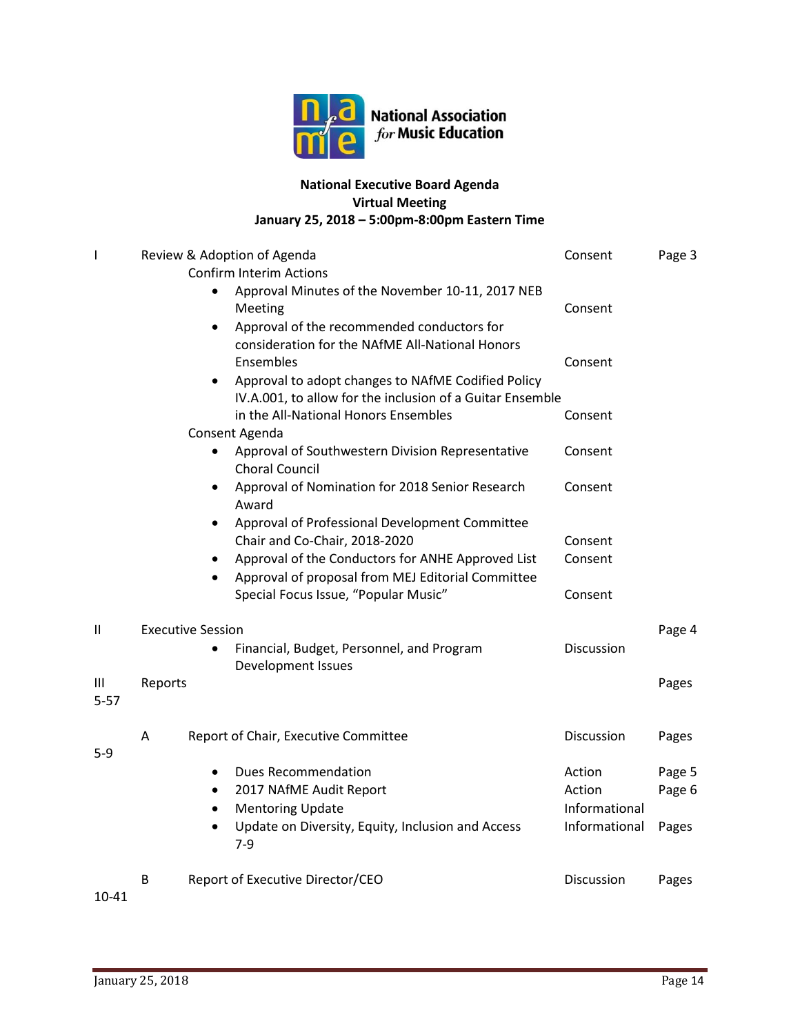

**National Association** for Music Education

# **National Executive Board Agenda Virtual Meeting January 25, 2018 – 5:00pm-8:00pm Eastern Time**

| I             |         |                          | Review & Adoption of Agenda                                               | Consent       | Page 3 |
|---------------|---------|--------------------------|---------------------------------------------------------------------------|---------------|--------|
|               |         |                          | <b>Confirm Interim Actions</b>                                            |               |        |
|               |         |                          | Approval Minutes of the November 10-11, 2017 NEB                          |               |        |
|               |         |                          | Meeting                                                                   | Consent       |        |
|               |         | $\bullet$                | Approval of the recommended conductors for                                |               |        |
|               |         |                          | consideration for the NAfME All-National Honors                           |               |        |
|               |         |                          | Ensembles                                                                 | Consent       |        |
|               |         | $\bullet$                | Approval to adopt changes to NAfME Codified Policy                        |               |        |
|               |         |                          | IV.A.001, to allow for the inclusion of a Guitar Ensemble                 |               |        |
|               |         |                          | in the All-National Honors Ensembles                                      | Consent       |        |
|               |         |                          | Consent Agenda                                                            |               |        |
|               |         |                          | Approval of Southwestern Division Representative<br><b>Choral Council</b> | Consent       |        |
|               |         | $\bullet$                | Approval of Nomination for 2018 Senior Research<br>Award                  | Consent       |        |
|               |         | $\bullet$                | Approval of Professional Development Committee                            |               |        |
|               |         |                          | Chair and Co-Chair, 2018-2020                                             | Consent       |        |
|               |         | ٠                        | Approval of the Conductors for ANHE Approved List                         | Consent       |        |
|               |         | $\bullet$                | Approval of proposal from MEJ Editorial Committee                         |               |        |
|               |         |                          | Special Focus Issue, "Popular Music"                                      | Consent       |        |
| $\mathbf{I}$  |         | <b>Executive Session</b> |                                                                           |               | Page 4 |
|               |         |                          | Financial, Budget, Personnel, and Program                                 | Discussion    |        |
|               |         |                          | Development Issues                                                        |               |        |
| Ш<br>$5 - 57$ | Reports |                          |                                                                           |               | Pages  |
|               | Α       |                          | Report of Chair, Executive Committee                                      | Discussion    | Pages  |
| $5-9$         |         |                          |                                                                           |               |        |
|               |         | $\bullet$                | <b>Dues Recommendation</b>                                                | Action        | Page 5 |
|               |         | $\bullet$                | 2017 NAfME Audit Report                                                   | Action        | Page 6 |
|               |         | $\bullet$                | <b>Mentoring Update</b>                                                   | Informational |        |
|               |         |                          | Update on Diversity, Equity, Inclusion and Access                         | Informational | Pages  |
|               |         |                          | $7-9$                                                                     |               |        |
|               | B       |                          | Report of Executive Director/CEO                                          | Discussion    | Pages  |
| $\sim$ $\sim$ |         |                          |                                                                           |               |        |

10-41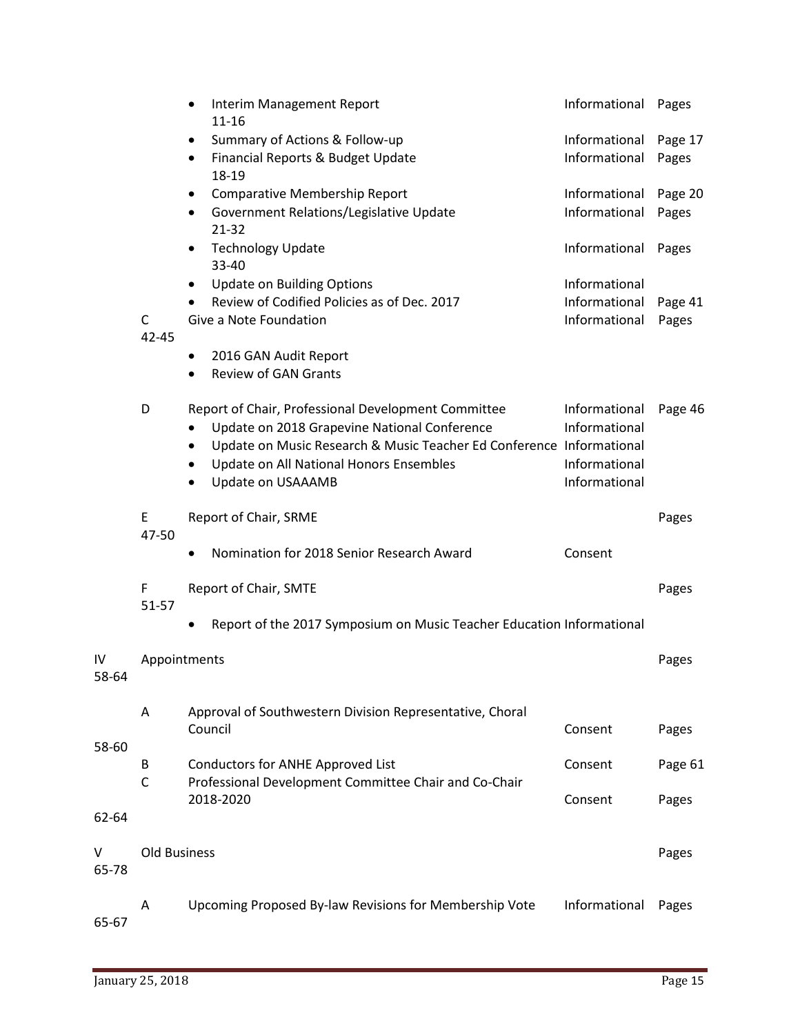|             |                      | $\bullet$<br>$11 - 16$ | Interim Management Report                                             | Informational | Pages   |
|-------------|----------------------|------------------------|-----------------------------------------------------------------------|---------------|---------|
|             |                      | ٠                      | Summary of Actions & Follow-up                                        | Informational | Page 17 |
|             |                      | $\bullet$<br>18-19     | Financial Reports & Budget Update                                     | Informational | Pages   |
|             |                      | $\bullet$              | <b>Comparative Membership Report</b>                                  | Informational | Page 20 |
|             |                      | 21-32                  | Government Relations/Legislative Update                               | Informational | Pages   |
|             |                      | ٠<br>33-40             | <b>Technology Update</b>                                              | Informational | Pages   |
|             |                      | $\bullet$              | <b>Update on Building Options</b>                                     | Informational |         |
|             |                      | $\bullet$              | Review of Codified Policies as of Dec. 2017                           | Informational | Page 41 |
|             | $\mathsf C$<br>42-45 |                        | Give a Note Foundation                                                | Informational | Pages   |
|             |                      | $\bullet$              | 2016 GAN Audit Report                                                 |               |         |
|             |                      | $\bullet$              | <b>Review of GAN Grants</b>                                           |               |         |
|             | D                    |                        | Report of Chair, Professional Development Committee                   | Informational | Page 46 |
|             |                      | $\bullet$              | Update on 2018 Grapevine National Conference                          | Informational |         |
|             |                      | ٠                      | Update on Music Research & Music Teacher Ed Conference Informational  |               |         |
|             |                      | $\bullet$              | Update on All National Honors Ensembles                               | Informational |         |
|             |                      | $\bullet$              | Update on USAAAMB                                                     | Informational |         |
|             | E<br>47-50           |                        | Report of Chair, SRME                                                 |               | Pages   |
|             |                      | $\bullet$              | Nomination for 2018 Senior Research Award                             | Consent       |         |
|             | F<br>51-57           |                        | Report of Chair, SMTE                                                 |               | Pages   |
|             |                      |                        | Report of the 2017 Symposium on Music Teacher Education Informational |               |         |
| IV<br>58-64 | Appointments         |                        |                                                                       |               | Pages   |
|             | A                    |                        | Approval of Southwestern Division Representative, Choral              |               |         |
|             |                      | Council                |                                                                       | Consent       | Pages   |
| 58-60       |                      |                        |                                                                       |               |         |
|             | В                    |                        | Conductors for ANHE Approved List                                     | Consent       | Page 61 |
|             | $\mathsf C$          |                        | Professional Development Committee Chair and Co-Chair                 |               |         |
|             |                      | 2018-2020              |                                                                       | Consent       | Pages   |
| 62-64       |                      |                        |                                                                       |               |         |
| V<br>65-78  | <b>Old Business</b>  |                        |                                                                       |               | Pages   |
|             | Α                    |                        | Upcoming Proposed By-law Revisions for Membership Vote                | Informational | Pages   |
| 65-67       |                      |                        |                                                                       |               |         |

65-67